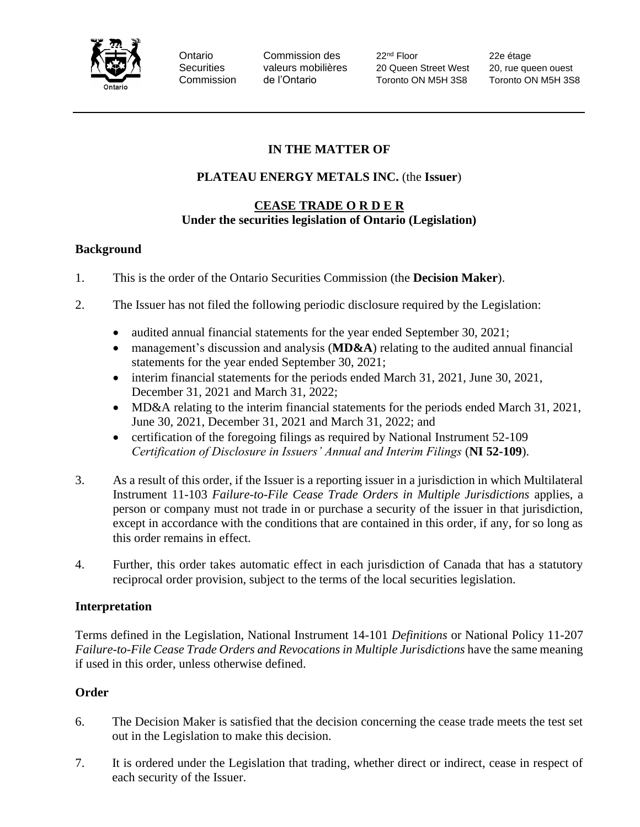

Ontario Commission des 22<sup>nd</sup> Floor 22e étage Securities valeurs mobilières 20 Queen Street West 20, rue queen ouest Commission de l'Ontario Toronto ON M5H 3S8 Toronto ON M5H 3S8

# **IN THE MATTER OF**

# **PLATEAU ENERGY METALS INC.** (the **Issuer**)

#### **CEASE TRADE O R D E R Under the securities legislation of Ontario (Legislation)**

### **Background**

- 1. This is the order of the Ontario Securities Commission (the **Decision Maker**).
- 2. The Issuer has not filed the following periodic disclosure required by the Legislation:
	- audited annual financial statements for the year ended September 30, 2021;
	- management's discussion and analysis (**MD&A**) relating to the audited annual financial statements for the year ended September 30, 2021;
	- interim financial statements for the periods ended March 31, 2021, June 30, 2021, December 31, 2021 and March 31, 2022;
	- MD&A relating to the interim financial statements for the periods ended March 31, 2021, June 30, 2021, December 31, 2021 and March 31, 2022; and
	- certification of the foregoing filings as required by National Instrument 52-109 *Certification of Disclosure in Issuers' Annual and Interim Filings* (**NI 52-109**).
- 3. As a result of this order, if the Issuer is a reporting issuer in a jurisdiction in which Multilateral Instrument 11-103 *Failure-to-File Cease Trade Orders in Multiple Jurisdictions* applies, a person or company must not trade in or purchase a security of the issuer in that jurisdiction, except in accordance with the conditions that are contained in this order, if any, for so long as this order remains in effect.
- 4. Further, this order takes automatic effect in each jurisdiction of Canada that has a statutory reciprocal order provision, subject to the terms of the local securities legislation.

## **Interpretation**

Terms defined in the Legislation, National Instrument 14-101 *Definitions* or National Policy 11-207 *Failure-to-File Cease Trade Orders and Revocations in Multiple Jurisdictions have the same meaning* if used in this order, unless otherwise defined.

## **Order**

- 6. The Decision Maker is satisfied that the decision concerning the cease trade meets the test set out in the Legislation to make this decision.
- 7. It is ordered under the Legislation that trading, whether direct or indirect, cease in respect of each security of the Issuer.